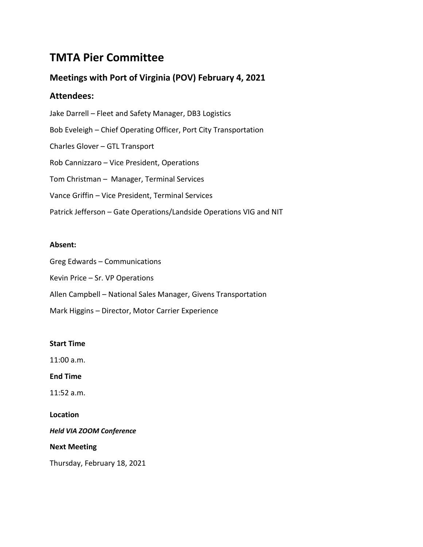# **TMTA Pier Committee**

# **Meetings with Port of Virginia (POV) February 4, 2021**

# **Attendees:**

Jake Darrell – Fleet and Safety Manager, DB3 Logistics Bob Eveleigh – Chief Operating Officer, Port City Transportation Charles Glover – GTL Transport Rob Cannizzaro – Vice President, Operations Tom Christman – Manager, Terminal Services Vance Griffin – Vice President, Terminal Services Patrick Jefferson – Gate Operations/Landside Operations VIG and NIT

## **Absent:**

Greg Edwards – Communications

Kevin Price – Sr. VP Operations

Allen Campbell – National Sales Manager, Givens Transportation

Mark Higgins – Director, Motor Carrier Experience

### **Start Time**

11:00 a.m.

**End Time**

11:52 a.m.

**Location**

*Held VIA ZOOM Conference*

**Next Meeting**

Thursday, February 18, 2021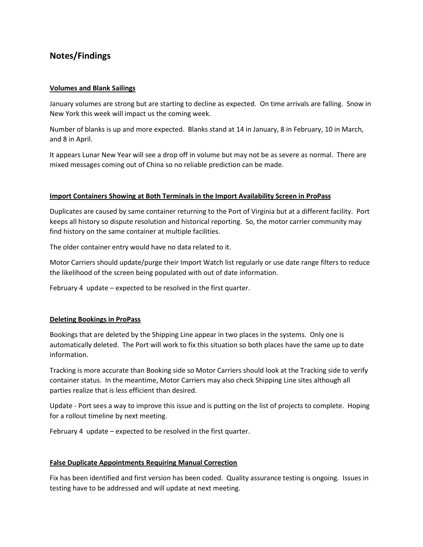# **Notes/Findings**

#### **Volumes and Blank Sailings**

January volumes are strong but are starting to decline as expected. On time arrivals are falling. Snow in New York this week will impact us the coming week.

Number of blanks is up and more expected. Blanks stand at 14 in January, 8 in February, 10 in March, and 8 in April.

It appears Lunar New Year will see a drop off in volume but may not be as severe as normal. There are mixed messages coming out of China so no reliable prediction can be made.

#### **Import Containers Showing at Both Terminals in the Import Availability Screen in ProPass**

Duplicates are caused by same container returning to the Port of Virginia but at a different facility. Port keeps all history so dispute resolution and historical reporting. So, the motor carrier community may find history on the same container at multiple facilities.

The older container entry would have no data related to it.

Motor Carriers should update/purge their Import Watch list regularly or use date range filters to reduce the likelihood of the screen being populated with out of date information.

February 4 update – expected to be resolved in the first quarter.

#### **Deleting Bookings in ProPass**

Bookings that are deleted by the Shipping Line appear in two places in the systems. Only one is automatically deleted. The Port will work to fix this situation so both places have the same up to date information.

Tracking is more accurate than Booking side so Motor Carriers should look at the Tracking side to verify container status. In the meantime, Motor Carriers may also check Shipping Line sites although all parties realize that is less efficient than desired.

Update - Port sees a way to improve this issue and is putting on the list of projects to complete. Hoping for a rollout timeline by next meeting.

February 4 update – expected to be resolved in the first quarter.

#### **False Duplicate Appointments Requiring Manual Correction**

Fix has been identified and first version has been coded. Quality assurance testing is ongoing. Issues in testing have to be addressed and will update at next meeting.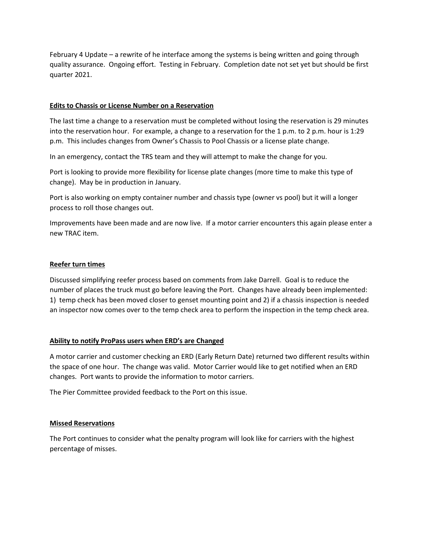February 4 Update – a rewrite of he interface among the systems is being written and going through quality assurance. Ongoing effort. Testing in February. Completion date not set yet but should be first quarter 2021.

#### **Edits to Chassis or License Number on a Reservation**

The last time a change to a reservation must be completed without losing the reservation is 29 minutes into the reservation hour. For example, a change to a reservation for the 1 p.m. to 2 p.m. hour is 1:29 p.m. This includes changes from Owner's Chassis to Pool Chassis or a license plate change.

In an emergency, contact the TRS team and they will attempt to make the change for you.

Port is looking to provide more flexibility for license plate changes (more time to make this type of change). May be in production in January.

Port is also working on empty container number and chassis type (owner vs pool) but it will a longer process to roll those changes out.

Improvements have been made and are now live. If a motor carrier encounters this again please enter a new TRAC item.

### **Reefer turn times**

Discussed simplifying reefer process based on comments from Jake Darrell. Goal is to reduce the number of places the truck must go before leaving the Port. Changes have already been implemented: 1) temp check has been moved closer to genset mounting point and 2) if a chassis inspection is needed an inspector now comes over to the temp check area to perform the inspection in the temp check area.

#### **Ability to notify ProPass users when ERD's are Changed**

A motor carrier and customer checking an ERD (Early Return Date) returned two different results within the space of one hour. The change was valid. Motor Carrier would like to get notified when an ERD changes. Port wants to provide the information to motor carriers.

The Pier Committee provided feedback to the Port on this issue.

#### **Missed Reservations**

The Port continues to consider what the penalty program will look like for carriers with the highest percentage of misses.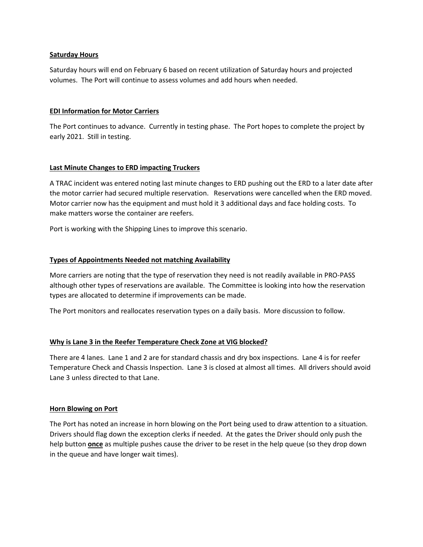#### **Saturday Hours**

Saturday hours will end on February 6 based on recent utilization of Saturday hours and projected volumes. The Port will continue to assess volumes and add hours when needed.

#### **EDI Information for Motor Carriers**

The Port continues to advance. Currently in testing phase. The Port hopes to complete the project by early 2021. Still in testing.

#### **Last Minute Changes to ERD impacting Truckers**

A TRAC incident was entered noting last minute changes to ERD pushing out the ERD to a later date after the motor carrier had secured multiple reservation. Reservations were cancelled when the ERD moved. Motor carrier now has the equipment and must hold it 3 additional days and face holding costs. To make matters worse the container are reefers.

Port is working with the Shipping Lines to improve this scenario.

#### **Types of Appointments Needed not matching Availability**

More carriers are noting that the type of reservation they need is not readily available in PRO-PASS although other types of reservations are available. The Committee is looking into how the reservation types are allocated to determine if improvements can be made.

The Port monitors and reallocates reservation types on a daily basis. More discussion to follow.

#### **Why is Lane 3 in the Reefer Temperature Check Zone at VIG blocked?**

There are 4 lanes. Lane 1 and 2 are for standard chassis and dry box inspections. Lane 4 is for reefer Temperature Check and Chassis Inspection. Lane 3 is closed at almost all times. All drivers should avoid Lane 3 unless directed to that Lane.

#### **Horn Blowing on Port**

The Port has noted an increase in horn blowing on the Port being used to draw attention to a situation. Drivers should flag down the exception clerks if needed. At the gates the Driver should only push the help button **once** as multiple pushes cause the driver to be reset in the help queue (so they drop down in the queue and have longer wait times).